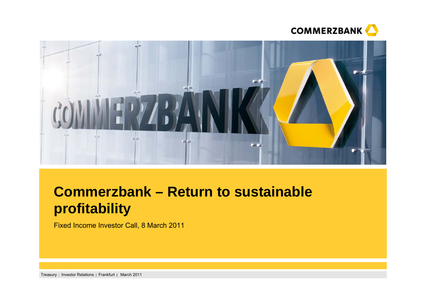



# **Commerzbank – Return to sustainable profitability**

Fixed Income Investor Call, 8 March 2011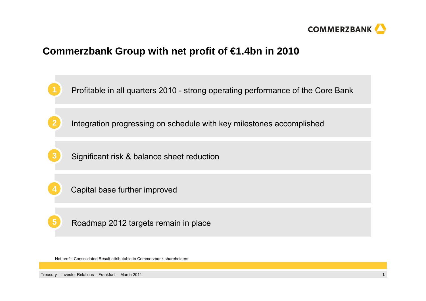

## **Commerzbank Group with net profit of €1.4bn in 2010**



Net profit: Consolidated Result attributable to Commerzbank shareholders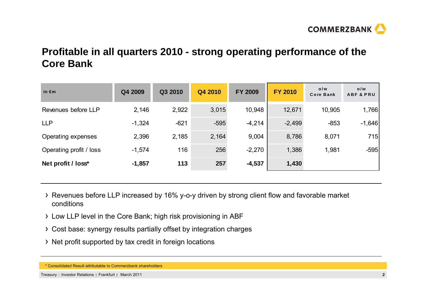

## **Profitable in all quarters 2010 - strong operating performance of the Core Bank**

| in $\epsilon$ m         | Q4 2009  | Q3 2010 | Q4 2010 | <b>FY 2009</b> | <b>FY 2010</b> | o/w<br><b>Core Bank</b> | o/w<br><b>ABF &amp; PRU</b> |
|-------------------------|----------|---------|---------|----------------|----------------|-------------------------|-----------------------------|
| Revenues before LLP     | 2,146    | 2,922   | 3,015   | 10,948         | 12,671         | 10,905                  | 1,766                       |
| <b>LLP</b>              | $-1,324$ | $-621$  | $-595$  | $-4,214$       | $-2,499$       | $-853$                  | $-1,646$                    |
| Operating expenses      | 2,396    | 2,185   | 2,164   | 9,004          | 8,786          | 8,071                   | 715                         |
| Operating profit / loss | $-1,574$ | 116     | 256     | $-2,270$       | 1,386          | 1,981                   | $-595$                      |
| Net profit / loss*      | $-1,857$ | 113     | 257     | $-4,537$       | 1,430          |                         |                             |

- Revenues before LLP increased by 16% y-o-y driven by strong client flow and favorable market conditions
- Low LLP level in the Core Bank; high risk provisioning in ABF
- Cost base: synergy results partially offset by integration charges
- > Net profit supported by tax credit in foreign locations

<sup>\*</sup> Consolidated Result attributable to Commerzbank shareholders

Treasury | Investor Relations | Frankfurt | March 2011 **2011 2012 2013 2014 2015 2016 2018 2018 2018 2018 2018 2018 2018 2018 2018 2018 2018 2018 2018 2018 2018 2018 2018 2018**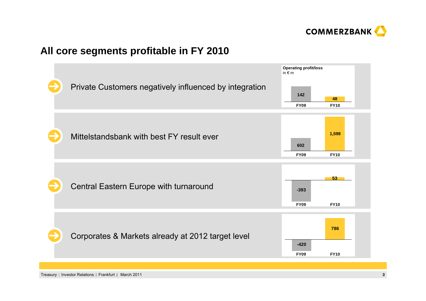

## **All core segments profitable in FY 2010**

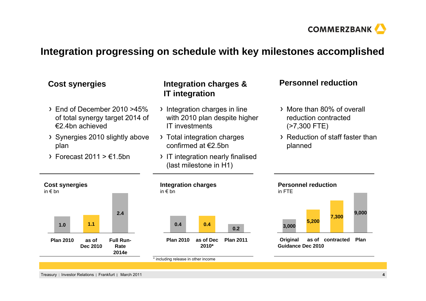

## **Integration progressing on schedule with key milestones accomplished**

#### More than 80% of overall reduction contracted (>7,300 FTE) Reduction of staff faster than planned **Cost synergies Personnel reduction Integration charges & Cost synergies** in € bn**Personnel reduction** in FTEEnd of December 2010 >45% of total synergy target 2014 of €2.4bn achievedSynergies 2010 slightly above plan  $\rightarrow$  Forecast 2011 >  $\epsilon$ 1.5bn **Integration charges** in € bnIntegration charges in line with 2010 plan despite higher IT investments> Total integration charges confirmed at €2.5bn> IT integration nearly finalised (last milestone in H1) **IT integration Plan 2011as of Dec0.22010\*0.4Plan 20100.4Full Run-Rate2014e2.4as of Dec 20101.1Plan 20101.0Plancontractedas of 9,000 7,300 Dec 2010Guidance5,200 Original 3,000**

\* including release in other income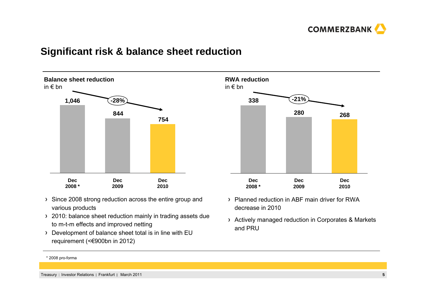

### **Significant risk & balance sheet reduction**



- > Since 2008 strong reduction across the entire group and various products
- > 2010: balance sheet reduction mainly in trading assets due to m-t-m effects and improved netting
- Development of balance sheet total is in line with EU requirement (<€900bn in 2012)



- Planned reduction in ABF main driver for RWA decrease in 2010
- Actively managed reduction in Corporates & Markets and PRU

\* 2008 pro-forma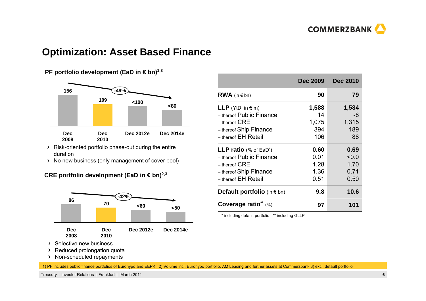

#### **Optimization: Asset Based Finance**

#### **PF portfolio development (EaD in €bn)<sup>1,3</sup>**



- Risk-oriented portfolio phase-out during the entire duration
- > No new business (only management of cover pool)

#### **CRE portfolio development (EaD in €bn)<sup>2,3</sup>**



- > Selective new business
- > Reduced prolongation quota
- > Non-scheduled repayments

|                                           | <b>Dec 2009</b> | <b>Dec 2010</b> |
|-------------------------------------------|-----------------|-----------------|
| <b>RWA</b> (in $\in$ bn)                  | 90              | 79              |
| <b>LLP</b> (YtD, in $\in$ m)              | 1,588           | 1,584           |
| - thereof Public Finance                  | 14              | -8              |
| $-$ thereof $CRE$                         | 1,075           | 1,315           |
| - thereof Ship Finance                    | 394             | 189             |
| - thereof EH Retail                       | 106             | 88              |
| <b>LLP ratio</b> (% of EaD <sup>*</sup> ) | 0.60            | 0.69            |
| - thereof Public Finance                  | 0.01            | < 0.0           |
| $-$ thereof $CRE$                         | 1.28            | 1.70            |
| - thereof Ship Finance                    | 1.36            | 0.71            |
| - thereof EH Retail                       | 0.51            | 0.50            |
| <b>Default portfolio</b> (in $\in$ bn)    | 9.8             | 10.6            |
| Coverage ratio** (%)                      | 97              | 101             |

\* including default portfolio \*\* including GLLP

1) PF includes public finance portfolios of Eurohypo and EEPK 2) Volume incl. Eurohypo portfolio, AM Leasing and further assets at Commerzbank 3) excl. default portfolio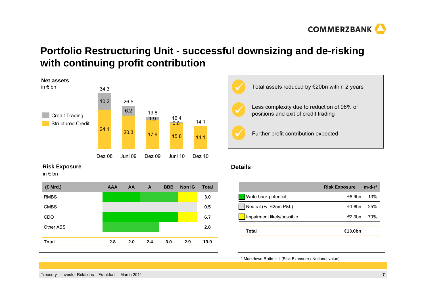

## **Portfolio Restructuring Unit - successful downsizing and de-risking with continuing profit contribution**



#### **Risk Exposure**

in € bn

| (€Mrd.)          | <b>AAA</b> | AA  | A   | <b>BBB</b> | <b>Non IG</b> | <b>Total</b> |
|------------------|------------|-----|-----|------------|---------------|--------------|
| <b>RMBS</b>      |            |     |     |            |               | 3.0          |
| <b>CMBS</b>      |            |     |     |            |               | 0.5          |
| <b>CDO</b>       |            |     |     |            |               | 6.7          |
| <b>Other ABS</b> |            |     |     |            |               | 2.8          |
|                  |            |     |     |            |               |              |
| <b>Total</b>     | 2.8        | 2.0 | 2.4 | 3.0        | 2.9           | 13.0         |



#### **Details**

|                            | <b>Risk Exposure</b> | $m-d-r^*$ |
|----------------------------|----------------------|-----------|
| Write-back potential       | $€8.9$ hn            | 13%       |
| Neutral (+/- €25m P&L)     | €1.8bn               | 25%       |
| Impairment likely/possible | €2.3bn               | 70%       |
|                            |                      |           |
| Total                      | €13.0bn              |           |

\* Markdown-Ratio = 1-(Risk Exposure / Notional value)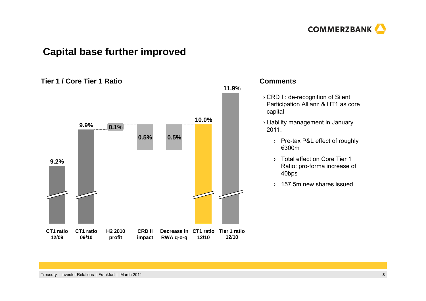

## **Capital base further improved**



#### **Comments**

- › CRD II: de-recognition of Silent Participation Allianz & HT1 as core capital
- › Liability management in January 2011:
	- › Pre-tax P&L effect of roughly €300m
	- › Total effect on Core Tier 1 Ratio: pro-forma increase of 40bps
	- › 157.5m new shares issued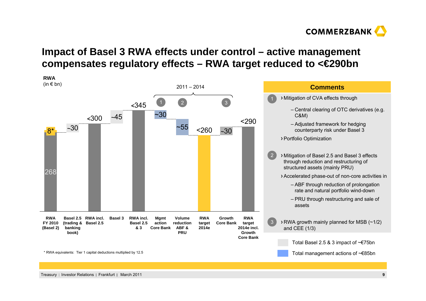

## **Impact of Basel 3 RWA effects under control – active management compensates regulatory effects – RWA target reduced to <€290bn**

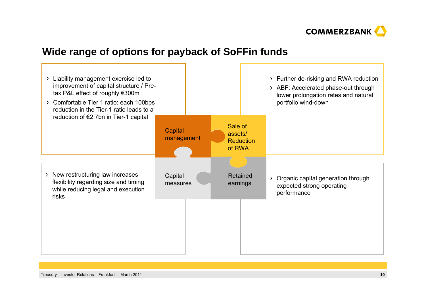

## **Wide range of options for payback of SoFFin funds**

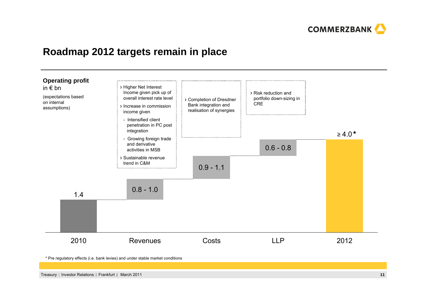

### **Roadmap 2012 targets remain in place**



\* Pre regulatory effects (i.e. bank levies) and under stable market conditions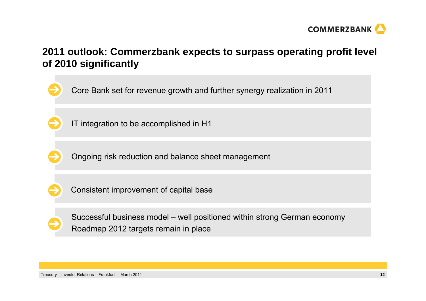

## **2011 outlook: Commerzbank expects to surpass operating profit level of 2010 significantly**

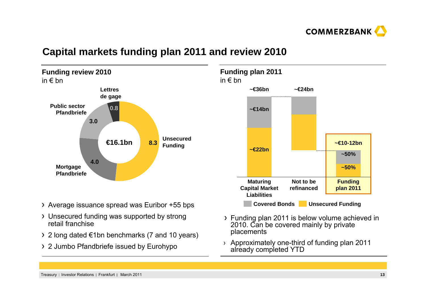

#### **Funding review 2010**  in € bn**8.34.03.00.8 Public sector PfandbriefeUnsecuredFunding Lettres de gage Mortgage Pfandbriefe€16.1bn**

## **Capital markets funding plan 2011 and review 2010**

- Average issuance spread was Euribor +55 bps
- Unsecured funding was supported by strong retail franchise
- 2 long dated €1bn benchmarks (7 and 10 years)
- 2 Jumbo Pfandbriefe issued by Eurohypo



- Funding plan 2011 is below volume achieved in 2010. Can be covered mainly by private placements
- › Approximately one-third of funding plan 2011 already completed YTD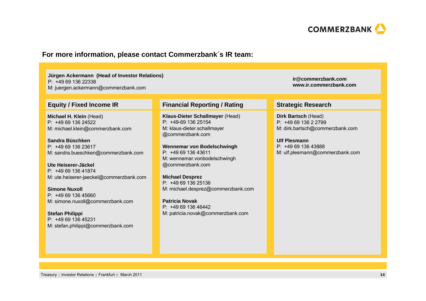

#### **For more information, please contact Commerzbank´s IR team:**

**Jürgen Ackermann (Head of Investor Relations)** P: +49 69 136 22338

M: juergen.ackermann@commerzbank.com

**Michael H. Klein** (Head) P: +49 69 136 24522M: michael.klein@commerzbank.com

**Sandra Büschken**P: +49 69 136 23617M: sandra.bueschken@commerzbank.com

**Ute Heiserer-Jäckel**P: +49 69 136 41874M: ute.heiserer-jaeckel@commerzbank.com

**Simone Nuxoll**P: +49 69 136 45660M: simone.nuxoll@commerzbank.com

**Stefan Philippi** P: +49 69 136 45231M: stefan.philippi@commerzbank.com

#### **Equity / Fixed Income IR Financial Reporting / Rating Strategic Research**

**Klaus-Dieter Schallmayer** (Head) P: +49-69 136 25154M: klaus-dieter.schallmayer @commerzbank.com

**Wennemar von Bodelschwingh** P: +49 69 136 43611M: wennemar.vonbodelschwingh @commerzbank.com

**Michael Desprez** P: +49 69 136 25136M: michael.desprez@commerzbank.com

**Patricia Novak**P: +49 69 136 46442M: patricia.novak@commerzbank.com

**ir@commerzbank.comwww.ir.commerzbank.com**

**Dirk Bartsch** (Head) P: +49 69 136 2 2799 M: dirk.bartsch@commerzbank.com

**Ulf Plesmann**P: +49 69 136 43888 M: ulf.plesmann@commerzbank.com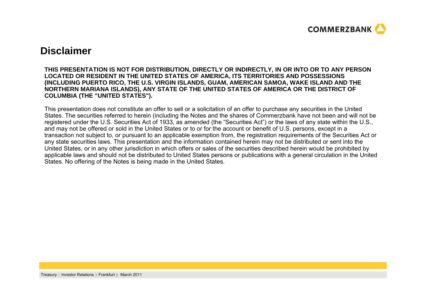

#### **Disclaimer**

#### **THIS PRESENTATION IS NOT FOR DISTRIBUTION, DIRECTLY OR INDIRECTLY, IN OR INTO OR TO ANY PERSON LOCATED OR RESIDENT IN THE UNITED STATES OF AMERICA, ITS TERRITORIES AND POSSESSIONS (INCLUDING PUERTO RICO, THE U.S. VIRGIN ISLANDS, GUAM, AMERICAN SAMOA, WAKE ISLAND AND THE NORTHERN MARIANA ISLANDS), ANY STATE OF THE UNITED STATES OF AMERICA OR THE DISTRICT OF COLUMBIA (THE "UNITED STATES").**

This presentation does not constitute an offer to sell or a solicitation of an offer to purchase any securities in the United States. The securities referred to herein (including the Notes and the shares of Commerzbank have not been and will not be registered under the U.S. Securities Act of 1933, as amended (the "Securities Act") or the laws of any state within the U.S., and may not be offered or sold in the United States or to or for the account or benefit of U.S. persons, except in a transaction not subject to, or pursuant to an applicable exemption from, the registration requirements of the Securities Act or any state securities laws. This presentation and the information contained herein may not be distributed or sent into the United States, or in any other jurisdiction in which offers or sales of the securities described herein would be prohibited by applicable laws and should not be distributed to United States persons or publications with a general circulation in the United States. No offering of the Notes is being made in the United States.